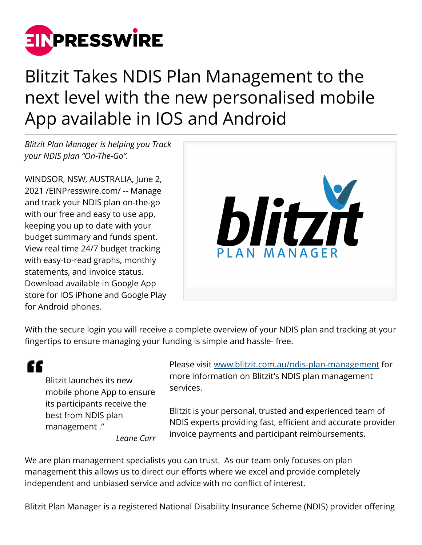

## Blitzit Takes NDIS Plan Management to the next level with the new personalised mobile App available in IOS and Android

*Blitzit Plan Manager is helping you Track your NDIS plan "On-The-Go".*

WINDSOR, NSW, AUSTRALIA, June 2, 2021 /[EINPresswire.com](http://www.einpresswire.com)/ -- Manage and track your NDIS plan on-the-go with our free and easy to use app, keeping you up to date with your budget summary and funds spent. View real time 24/7 budget tracking with easy-to-read graphs, monthly statements, and invoice status. Download available in Google App store for IOS iPhone and Google Play for Android phones.



With the secure login you will receive a complete overview of your NDIS plan and tracking at your fingertips to ensure managing your funding is simple and hassle- free.

" Blitzit launches its new mobile phone App to ensure its participants receive the best from NDIS plan management ."

Please visit [www.blitzit.com.au/ndis-plan-management](https://www.blitzit.com.au/ndis-plan-management) for more information on Blitzit's NDIS plan management services.

Blitzit is your personal, trusted and experienced team of NDIS experts providing fast, efficient and accurate provider invoice payments and participant reimbursements.

*Leane Carr*

We are plan management specialists you can trust. As our team only focuses on plan management this allows us to direct our efforts where we excel and provide completely independent and unbiased service and advice with no conflict of interest.

Blitzit Plan Manager is a registered National Disability Insurance Scheme (NDIS) provider offering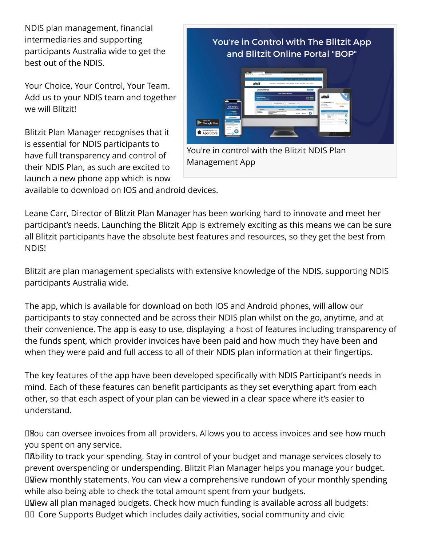NDIS plan management, financial intermediaries and supporting participants Australia wide to get the best out of the NDIS.

Your Choice, Your Control, Your Team. Add us to your NDIS team and together we will Blitzit!

Blitzit Plan Manager recognises that it is essential for NDIS participants to have full transparency and control of their NDIS Plan, as such are excited to launch a new phone app which is now



available to download on IOS and android devices.

Leane Carr, Director of Blitzit Plan Manager has been working hard to innovate and meet her participant's needs. Launching the Blitzit App is extremely exciting as this means we can be sure all Blitzit participants have the absolute best features and resources, so they get the best from NDIS!

Blitzit are plan management specialists with extensive knowledge of the NDIS, supporting NDIS participants Australia wide.

The app, which is available for download on both IOS and Android phones, will allow our participants to stay connected and be across their NDIS plan whilst on the go, anytime, and at their convenience. The app is easy to use, displaying a host of features including transparency of the funds spent, which provider invoices have been paid and how much they have been and when they were paid and full access to all of their NDIS plan information at their fingertips.

The key features of the app have been developed specifically with NDIS Participant's needs in mind. Each of these features can benefit participants as they set everything apart from each other, so that each aspect of your plan can be viewed in a clear space where it's easier to understand.

 $\square$  You can oversee invoices from all providers. Allows you to access invoices and see how much you spent on any service.

DAbility to track your spending. Stay in control of your budget and manage services closely to prevent overspending or underspending. Blitzit Plan Manager helps you manage your budget.  $\square$  View monthly statements. You can view a comprehensive rundown of your monthly spending while also being able to check the total amount spent from your budgets.

 $\square$ View all plan managed budgets. Check how much funding is available across all budgets: **DD** Core Supports Budget which includes daily activities, social community and civic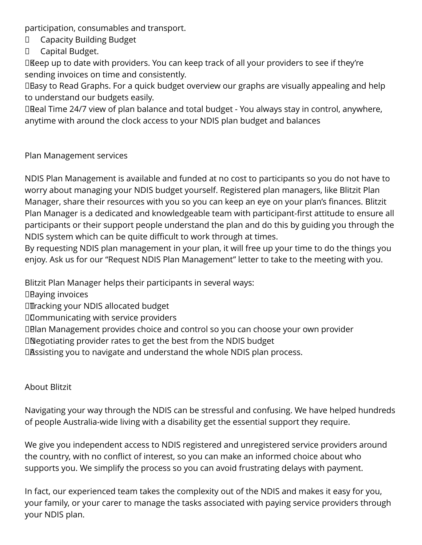participation, consumables and transport.

- □ Capacity Building Budget
- □ Capital Budget.

 $\Box$  Keep up to date with providers. You can keep track of all your providers to see if they're sending invoices on time and consistently.

DEasy to Read Graphs. For a quick budget overview our graphs are visually appealing and help to understand our budgets easily.

**Exal Time 24/7 view of plan balance and total budget - You always stay in control, anywhere,** anytime with around the clock access to your NDIS plan budget and balances

Plan Management services

NDIS Plan Management is available and funded at no cost to participants so you do not have to worry about managing your NDIS budget yourself. Registered plan managers, like Blitzit Plan Manager, share their resources with you so you can keep an eye on your plan's finances. Blitzit Plan Manager is a dedicated and knowledgeable team with participant-first attitude to ensure all participants or their support people understand the plan and do this by guiding you through the NDIS system which can be quite difficult to work through at times.

By requesting NDIS plan management in your plan, it will free up your time to do the things you enjoy. Ask us for our "Request NDIS Plan Management" letter to take to the meeting with you.

Blitzit Plan Manager helps their participants in several ways:

DBaying invoices

□ Tracking your NDIS allocated budget

DI Ommunicating with service providers

**DE DEM** Management provides choice and control so you can choose your own provider

 $\Box$ Negotiating provider rates to get the best from the NDIS budget

DAssisting you to navigate and understand the whole NDIS plan process.

About Blitzit

Navigating your way through the NDIS can be stressful and confusing. We have helped hundreds of people Australia-wide living with a disability get the essential support they require.

We give you independent access to NDIS registered and unregistered service providers around the country, with no conflict of interest, so you can make an informed choice about who supports you. We simplify the process so you can avoid frustrating delays with payment.

In fact, our experienced team takes the complexity out of the NDIS and makes it easy for you, your family, or your carer to manage the tasks associated with paying service providers through your NDIS plan.